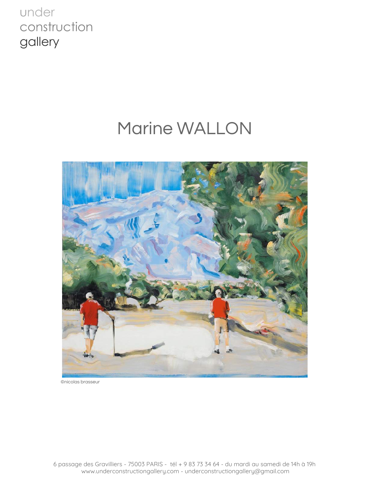# Marine WALLON



©nicolas brasseur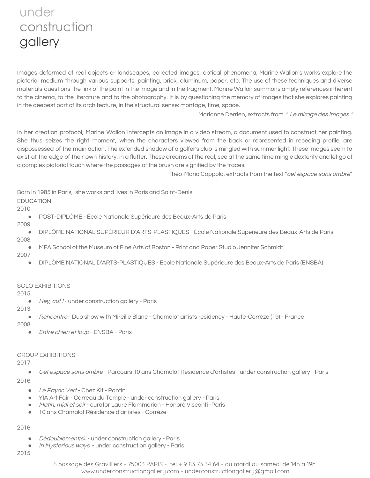Images deformed of real objects or landscapes, collected images, optical phenomena, Marine Wallon's works explore the pictorial medium through various supports: painting, brick, aluminum, paper, etc. The use of these techniques and diverse materials questions the link of the paint in the image and in the fragment. Marine Wallon summons amply references inherent to the cinema, to the literature and to the photography. It is by questioning the memory of images that she explores painting in the deepest part of its architecture, in the structural sense: montage, time, space.

Marianne Derrien, extracts from " Le mirage des images "

In her creation protocol, Marine Wallon intercepts an image in a video stream, a document used to construct her painting. She thus seizes the right moment, when the characters viewed from the back or represented in receding profile, are dispossessed of the main action. The extended shadow of a golfer's club is mingled with summer light. These images seem to exist at the edge of their own history, in a flutter. These dreams of the real, see at the same time mingle dexterity and let go of a complex pictorial touch where the passages of the brush are signified by the traces.

Théo-Mario Coppola, extracts from the text "cet espace sans ombre"

Born in 1985 in Paris, she works and lives in Paris and Saint-Denis.

### EDUCATION

2010

● POST-DIPLÔME - École Nationale Supérieure des Beaux-Arts de Paris

2009

● DIPLÔME NATIONAL SUPÉRIEUR D'ARTS-PLASTIQUES - École Nationale Supérieure des Beaux-Arts de Paris

2008

● MFA School of the Museum of Fine Arts of Boston - Print and Paper Studio Jennifer Schmidt

2007

● DIPLÔME NATIONAL D'ARTS-PLASTIQUES - École Nationale Supérieure des Beaux-Arts de Paris (ENSBA)

### SOLO EXHIBITIONS

2015

● Hey, cut ! - under construction gallery - Paris

2013

● Rencontre - Duo show with Mireille Blanc - Chamalot artists residency - Haute-Corrèze (19) - France

2008

● Entre chien et loup - ENSBA - Paris

### GROUP EXHIBITIONS

2017

● Cet espace sans ombre - Parcours 10 ans Chamalot Résidence d'artistes - under construction gallery - Paris

2016

- Le Rayon Vert Chez Kit Pantin
- YIA Art Fair Carreau du Temple under construction gallery Paris
- Matin, midi et soir curator Laure Flammarion Honoré Visconti Paris
- 10 ans Chamalot Résidence d'artistes Corrèze

2016

- Dédoublement(s) under construction gallery Paris
- In Mysterious ways under construction gallery Paris

2015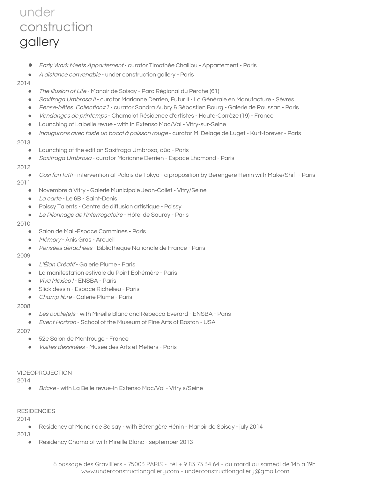**●** Early Work Meets Appartement - curator Timothée Chaillou - Appartement - Paris

● *A distance convenable* - under construction gallery - Paris

#### 2014

- The Illusion of Life Manoir de Soisay Parc Régional du Perche (61)
- Saxifraga Umbrosa II curator Marianne Derrien, Futur II La Générale en Manufacture Sèvres
- Pense-bêtes. Collection#1 curator Sandra Aubry & Sébastien Bourg Galerie de Roussan Paris
- *Vendanges de printemps* Chamalot Résidence d'artistes Haute-Corrèze (19) France
- Launching of La belle revue with In Extenso Mac/Val Vitry-sur-Seine
- *Inaugurons avec faste un bocal à poisson rouge* curator M. Delage de Luget Kurt-forever Paris

#### 2013

- Launching of the edition Saxifraga Umbrosa, düo Paris
- Saxifraga Umbrosa curator Marianne Derrien Espace Lhomond Paris

#### 2012

● Così fan tutti - intervention at Palais de Tokyo - a proposition by Bérengère Hénin with Make/Shift - Paris

#### 2011

- Novembre à Vitry Galerie Municipale Jean-Collet Vitry/Seine
- *La carte* Le 6B Saint-Denis
- Poissy Talents Centre de diffusion artistique Poissy
- Le Pilonnage de l'Interrogatoire Hôtel de Sauroy Paris

#### 2010

- Salon de Mai -Espace Commines Paris
- *Mémory* Anis Gras Arcueil
- Pensées détachées Bibliothèque Nationale de France Paris

### 2009

- L'Élan Créatif Galerie Plume Paris
- La manifestation estivale du Point Ephémère Paris
- *Viva Mexico !* ENSBA Paris
- Slick dessin Espace Richelieu Paris
- Champ libre Galerie Plume Paris

#### 2008

- Les oublié(e)s with Mireille Blanc and Rebecca Everard ENSBA Paris
- Event Horizon School of the Museum of Fine Arts of Boston USA

#### 2007

- 52e Salon de Montrouge France
- Visites dessinées Musée des Arts et Métiers Paris

#### VIDEOPROJECTION

2014

● Bricke - with La Belle revue-In Extenso Mac/Val - Vitry s/Seine

#### **RESIDENCIES**

2014

● Residency at Manoir de Soisay - with Bérengère Hénin - Manoir de Soisay - july 2014

### 2013

● Residency Chamalot with Mireille Blanc - september 2013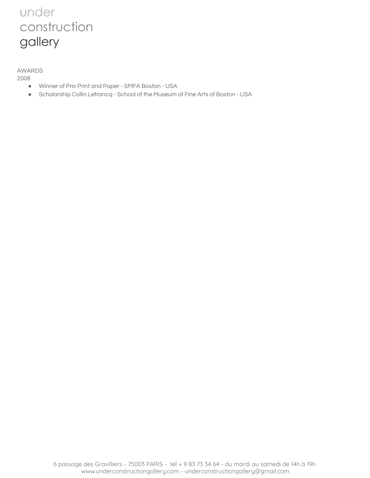AWARDS

2008

- Winner of Prix Print and Paper SMFA Boston USA
- Scholarship Collin Lefrancq School of the Museum of Fine Arts of Boston USA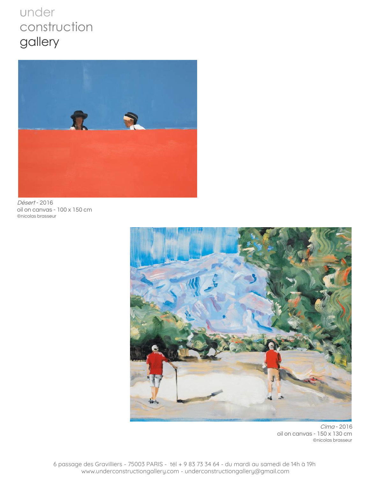

Désert - 2016 oil on canvas - 100 x 150 cm ©nicolas brasseur



Cima - 2016 oil on canvas - 150 x 130 cm ©nicolas brasseur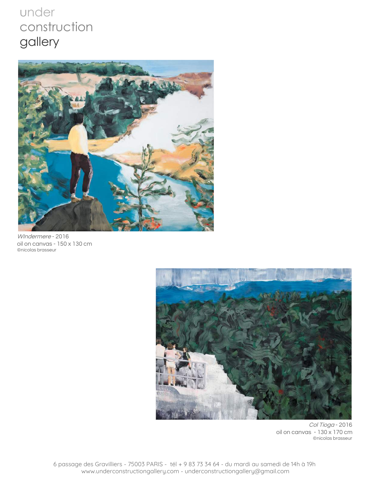

WIndermere - 2016 oil on canvas - 150 x 130 cm ©nicolas brasseur



Col Tioga - 2016 oil on canvas - 130 x 170 cm ©nicolas brasseur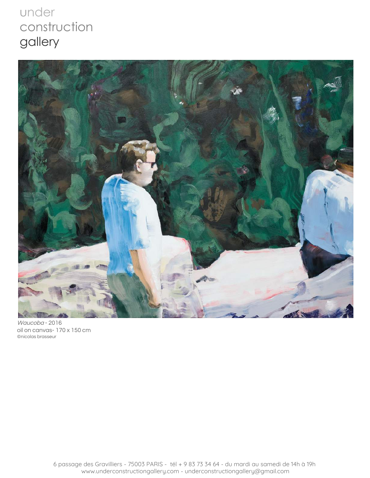

Waucoba - 2016 oil on canvas- 170 x 150 cm ©nicolas brasseur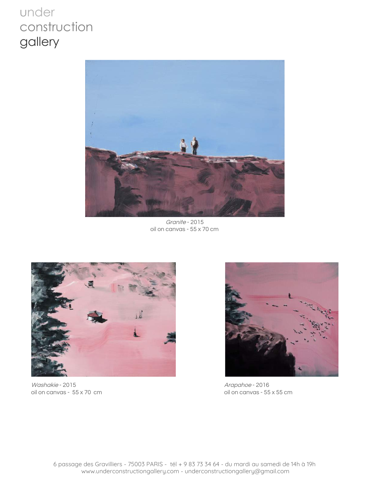

Granite - 2015 oil on canvas - 55 x 70 cm



Washakie - 2015 oil on canvas - 55 x 70 cm



Arapahoe - 2016 oil on canvas - 55 x 55 cm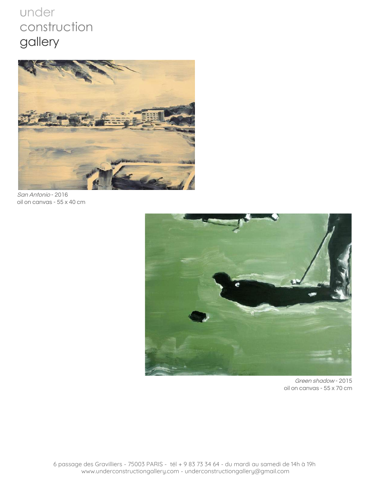

San Antonio - 2016 oil on canvas - 55 x 40 cm



Green shadow - 2015 oil on canvas - 55 x 70 cm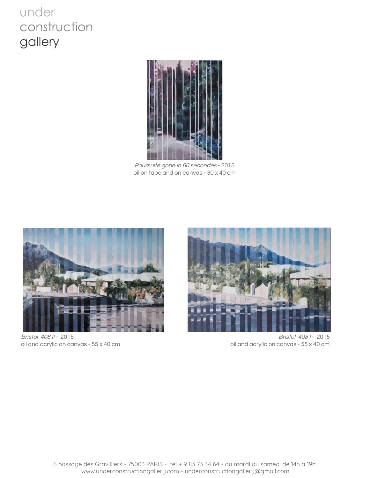

Poursuite gone in <sup>60</sup> secondes - 2015 oil on tape and on canvas - 30 x 40 cm



Bristol 408 II - 2015 2015



oil and acrylic on canvas - 55 x 40 cm oil and acrylic on canvas - 55 x 40 cm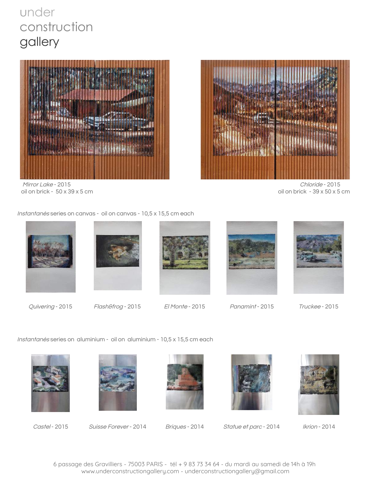

Mirror Lake - 2015 Chloride - 2015



oil on brick - 50 x 39 x 5 cm oil on brick - 39 x 50 x 5 cm

Instantanés series on canvas - oil on canvas - 10,5 x 15,5 cm each









Quivering - 2015 Flash&frog - 2015 El Monte - 2015 Panamint - 2015 Truckee - 2015



Instantanés series on aluminium - oil on aluminium - 10,5 x 15,5 cm each





Castel - 2015 Suisse Forever - 2014 Briques - 2014 Statue et parc - 2014 Ikrion - 2014





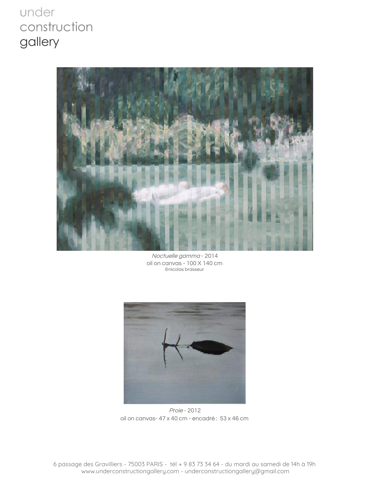

Noctuelle gamma - 2014 oil on canvas - 100 X 140 cm ©nicolas brasseur



Proie - 2012 oil on canvas- 47 x 40 cm - encadré : 53 x 46 cm

6 passage des Gravilliers - 75003 PARIS - tél + 9 83 73 34 64 - du mardi au samedi de 14h à 19h www.underconstructiongallery.com - underconstructiongallery@gmail.com